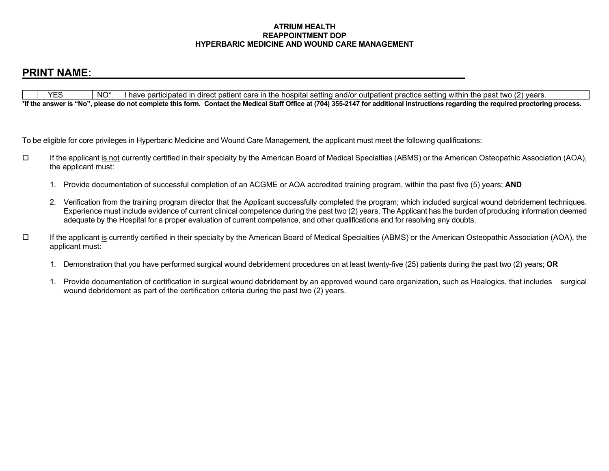#### **ATRIUM HEALTH REAPPOINTMENT DOP HYPERBARIC MEDICINE AND WOUND CARE MANAGEMENT**

# **PRINT NAME:**

|                |                  |      | NO <sup>*</sup> | $(2)$ years.<br>twc<br>i withir<br>direr<br>past<br>patient<br>the<br>sbital<br>settir<br>oatlen<br>-me<br>attır<br>латеа<br>OUIt<br>TICID.<br>ia/or<br>nr<br>nos<br>н.                                        |
|----------------|------------------|------|-----------------|----------------------------------------------------------------------------------------------------------------------------------------------------------------------------------------------------------------|
| "If the $\sim$ | . answer<br>- 12 | 'Noʻ | nlear<br>' ao   | 355-21471<br>'704<br>Staf.<br><b>া</b> the Medical<br>d proctoring process.<br>`torm.<br>Contacl<br>'≏te this .<br>r additional instructions<br>compl'<br>noi<br><b>OTTICP</b><br>at<br>τne<br>τοι<br>reauirea |

To be eligible for core privileges in Hyperbaric Medicine and Wound Care Management, the applicant must meet the following qualifications:

- If the applicant is not currently certified in their specialty by the American Board of Medical Specialties (ABMS) or the American Osteopathic Association (AOA), the applicant must:
	- 1. Provide documentation of successful completion of an ACGME or AOA accredited training program, within the past five (5) years; **AND**
	- 2. Verification from the training program director that the Applicant successfully completed the program; which included surgical wound debridement techniques. Experience must include evidence of current clinical competence during the past two (2) years. The Applicant has the burden of producing information deemed adequate by the Hospital for a proper evaluation of current competence, and other qualifications and for resolving any doubts.
- $\Box$  If the applicant is currently certified in their specialty by the American Board of Medical Specialties (ABMS) or the American Osteopathic Association (AOA), the applicant must:
	- 1. Demonstration that you have performed surgical wound debridement procedures on at least twenty-five (25) patients during the past two (2) years; **OR**
	- 1. Provide documentation of certification in surgical wound debridement by an approved wound care organization, such as Healogics, that includes surgical wound debridement as part of the certification criteria during the past two (2) years.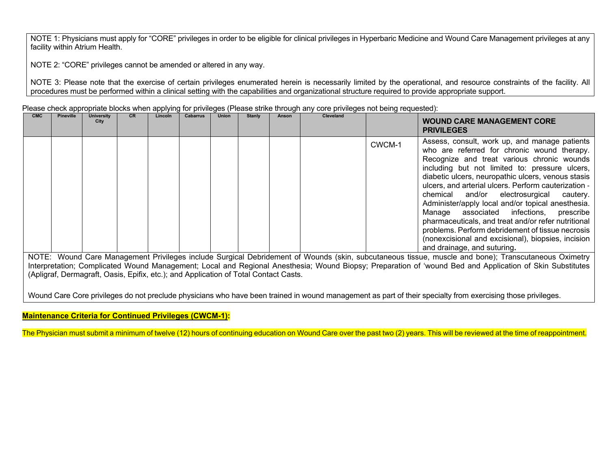NOTE 1: Physicians must apply for "CORE" privileges in order to be eligible for clinical privileges in Hyperbaric Medicine and Wound Care Management privileges at any facility within Atrium Health.

NOTE 2: "CORE" privileges cannot be amended or altered in any way.

NOTE 3: Please note that the exercise of certain privileges enumerated herein is necessarily limited by the operational, and resource constraints of the facility. All procedures must be performed within a clinical setting with the capabilities and organizational structure required to provide appropriate support.

Please check appropriate blocks when applying for privileges (Please strike through any core privileges not being requested):

| <b>CMC</b> | <b>Pineville</b> | <b>University</b><br>City | <b>CR</b> | Lincoln | <b>Cabarrus</b> | <b>Union</b> | Stanly | Anson | Cleveland |        | <b>WOUND CARE MANAGEMENT CORE</b><br><b>PRIVILEGES</b>                                                                                                                                                                                                                                                                                                                                                                                                                                                                                                                                                                                                    |
|------------|------------------|---------------------------|-----------|---------|-----------------|--------------|--------|-------|-----------|--------|-----------------------------------------------------------------------------------------------------------------------------------------------------------------------------------------------------------------------------------------------------------------------------------------------------------------------------------------------------------------------------------------------------------------------------------------------------------------------------------------------------------------------------------------------------------------------------------------------------------------------------------------------------------|
|            |                  |                           |           |         |                 |              |        |       |           | CWCM-1 | Assess, consult, work up, and manage patients<br>who are referred for chronic wound therapy.<br>Recognize and treat various chronic wounds<br>including but not limited to: pressure ulcers,<br>diabetic ulcers, neuropathic ulcers, venous stasis<br>ulcers, and arterial ulcers. Perform cauterization -<br>chemical and/or electrosurgical cautery.<br>Administer/apply local and/or topical anesthesia.<br>Manage associated infections,<br>prescribe<br>pharmaceuticals, and treat and/or refer nutritional<br>problems. Perform debridement of tissue necrosis<br>(nonexcisional and excisional), biopsies, incision<br>and drainage, and suturing. |

NOTE: Wound Care Management Privileges include Surgical Debridement of Wounds (skin, subcutaneous tissue, muscle and bone); Transcutaneous Oximetry Interpretation; Complicated Wound Management; Local and Regional Anesthesia; Wound Biopsy; Preparation of 'wound Bed and Application of Skin Substitutes (Apligraf, Dermagraft, Oasis, Epifix, etc.); and Application of Total Contact Casts.

Wound Care Core privileges do not preclude physicians who have been trained in wound management as part of their specialty from exercising those privileges.

## **Maintenance Criteria for Continued Privileges (CWCM-1):**

The Physician must submit a minimum of twelve (12) hours of continuing education on Wound Care over the past two (2) years. This will be reviewed at the time of reappointment.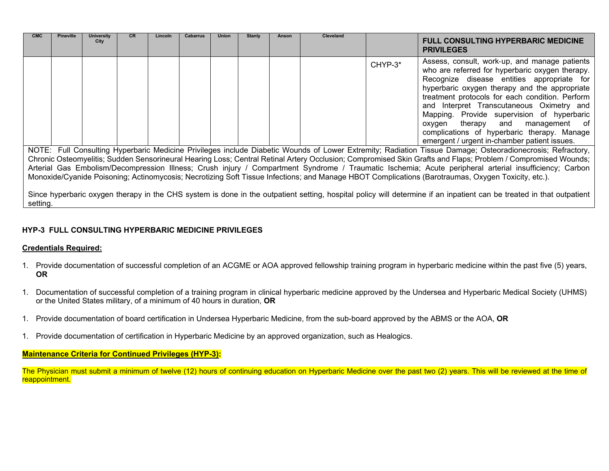| <b>CMC</b> | <b>Pineville</b> | University<br>City | <b>CR</b> | Lincoln | <b>Cabarrus</b> | <b>Union</b> | <b>Stanly</b> | Anson | <b>Cleveland</b> |         | <b>FULL CONSULTING HYPERBARIC MEDICINE</b><br><b>PRIVILEGES</b>                                                                                                                                                                                                                                                                                                                                                                                                                  |
|------------|------------------|--------------------|-----------|---------|-----------------|--------------|---------------|-------|------------------|---------|----------------------------------------------------------------------------------------------------------------------------------------------------------------------------------------------------------------------------------------------------------------------------------------------------------------------------------------------------------------------------------------------------------------------------------------------------------------------------------|
|            |                  |                    |           |         |                 |              |               |       |                  | CHYP-3* | Assess, consult, work-up, and manage patients<br>who are referred for hyperbaric oxygen therapy.<br>Recognize disease entities appropriate for<br>hyperbaric oxygen therapy and the appropriate<br>treatment protocols for each condition. Perform<br>and Interpret Transcutaneous Oximetry and<br>Mapping. Provide supervision of hyperbaric<br>oxygen therapy and management of<br>complications of hyperbaric therapy. Manage<br>emergent / urgent in-chamber patient issues. |

NOTE: Full Consulting Hyperbaric Medicine Privileges include Diabetic Wounds of Lower Extremity; Radiation Tissue Damage; Osteoradionecrosis; Refractory, Chronic Osteomyelitis; Sudden Sensorineural Hearing Loss; Central Retinal Artery Occlusion; Compromised Skin Grafts and Flaps; Problem / Compromised Wounds; Arterial Gas Embolism/Decompression Illness; Crush injury / Compartment Syndrome / Traumatic Ischemia; Acute peripheral arterial insufficiency; Carbon Monoxide/Cyanide Poisoning; Actinomycosis; Necrotizing Soft Tissue Infections; and Manage HBOT Complications (Barotraumas, Oxygen Toxicity, etc.).

Since hyperbaric oxygen therapy in the CHS system is done in the outpatient setting, hospital policy will determine if an inpatient can be treated in that outpatient setting.

## **HYP-3 FULL CONSULTING HYPERBARIC MEDICINE PRIVILEGES**

#### **Credentials Required:**

- 1. Provide documentation of successful completion of an ACGME or AOA approved fellowship training program in hyperbaric medicine within the past five (5) years, **OR**
- 1. Documentation of successful completion of a training program in clinical hyperbaric medicine approved by the Undersea and Hyperbaric Medical Society (UHMS) or the United States military, of a minimum of 40 hours in duration, **OR**
- 1. Provide documentation of board certification in Undersea Hyperbaric Medicine, from the sub-board approved by the ABMS or the AOA, **OR**
- 1. Provide documentation of certification in Hyperbaric Medicine by an approved organization, such as Healogics.

#### **Maintenance Criteria for Continued Privileges (HYP-3):**

The Physician must submit a minimum of twelve (12) hours of continuing education on Hyperbaric Medicine over the past two (2) years. This will be reviewed at the time of reappointment.